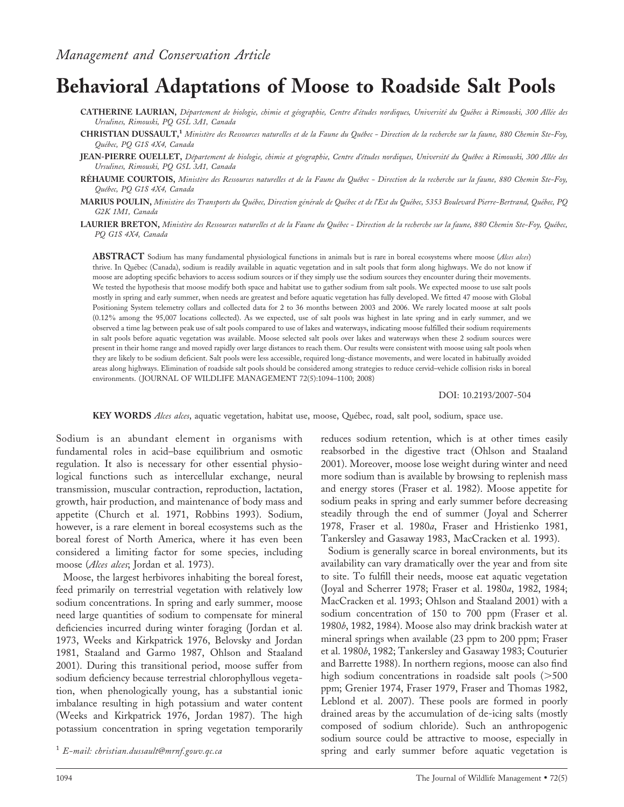# Behavioral Adaptations of Moose to Roadside Salt Pools

- CATHERINE LAURIAN, Département de biologie, chimie et géographie, Centre d'études nordiques, Université du Québec à Rimouski, 300 Allée des Ursulines, Rimouski, PQ G5L 3A1, Canada
- CHRISTIAN DUSSAULT,<sup>1</sup> Ministère des Ressources naturelles et de la Faune du Québec Direction de la recherche sur la faune, 880 Chemin Ste-Foy, Québec, PQ G1S 4X4, Canada
- JEAN-PIERRE OUELLET, Département de biologie, chimie et géographie, Centre d'études nordiques, Université du Québec à Rimouski, 300 Allée des Ursulines, Rimouski, PQ G5L 3A1, Canada
- RÉHAUME COURTOIS, Ministère des Ressources naturelles et de la Faune du Québec Direction de la recherche sur la faune, 880 Chemin Ste-Foy, Québec, PQ G1S 4X4, Canada
- MARIUS POULIN, Ministère des Transports du Québec, Direction générale de Québec et de l'Est du Québec, 5353 Boulevard Pierre-Bertrand, Québec, PQ G2K 1M1, Canada
- LAURIER BRETON, Ministère des Ressources naturelles et de la Faune du Québec Direction de la recherche sur la faune, 880 Chemin Ste-Foy, Québec, PQ G1S 4X4, Canada

ABSTRACT Sodium has many fundamental physiological functions in animals but is rare in boreal ecosystems where moose (Alces alces) thrive. In Québec (Canada), sodium is readily available in aquatic vegetation and in salt pools that form along highways. We do not know if moose are adopting specific behaviors to access sodium sources or if they simply use the sodium sources they encounter during their movements. We tested the hypothesis that moose modify both space and habitat use to gather sodium from salt pools. We expected moose to use salt pools mostly in spring and early summer, when needs are greatest and before aquatic vegetation has fully developed. We fitted 47 moose with Global Positioning System telemetry collars and collected data for 2 to 36 months between 2003 and 2006. We rarely located moose at salt pools (0.12% among the 95,007 locations collected). As we expected, use of salt pools was highest in late spring and in early summer, and we observed a time lag between peak use of salt pools compared to use of lakes and waterways, indicating moose fulfilled their sodium requirements in salt pools before aquatic vegetation was available. Moose selected salt pools over lakes and waterways when these 2 sodium sources were present in their home range and moved rapidly over large distances to reach them. Our results were consistent with moose using salt pools when they are likely to be sodium deficient. Salt pools were less accessible, required long-distance movements, and were located in habitually avoided areas along highways. Elimination of roadside salt pools should be considered among strategies to reduce cervid–vehicle collision risks in boreal environments. (JOURNAL OF WILDLIFE MANAGEMENT 72(5):1094–1100; 2008)

#### DOI: 10.2193/2007-504

KEY WORDS Alces alces, aquatic vegetation, habitat use, moose, Québec, road, salt pool, sodium, space use.

Sodium is an abundant element in organisms with fundamental roles in acid–base equilibrium and osmotic regulation. It also is necessary for other essential physiological functions such as intercellular exchange, neural transmission, muscular contraction, reproduction, lactation, growth, hair production, and maintenance of body mass and appetite (Church et al. 1971, Robbins 1993). Sodium, however, is a rare element in boreal ecosystems such as the boreal forest of North America, where it has even been considered a limiting factor for some species, including moose (Alces alces; Jordan et al. 1973).

Moose, the largest herbivores inhabiting the boreal forest, feed primarily on terrestrial vegetation with relatively low sodium concentrations. In spring and early summer, moose need large quantities of sodium to compensate for mineral deficiencies incurred during winter foraging (Jordan et al. 1973, Weeks and Kirkpatrick 1976, Belovsky and Jordan 1981, Staaland and Garmo 1987, Ohlson and Staaland 2001). During this transitional period, moose suffer from sodium deficiency because terrestrial chlorophyllous vegetation, when phenologically young, has a substantial ionic imbalance resulting in high potassium and water content (Weeks and Kirkpatrick 1976, Jordan 1987). The high potassium concentration in spring vegetation temporarily

reduces sodium retention, which is at other times easily reabsorbed in the digestive tract (Ohlson and Staaland 2001). Moreover, moose lose weight during winter and need more sodium than is available by browsing to replenish mass and energy stores (Fraser et al. 1982). Moose appetite for sodium peaks in spring and early summer before decreasing steadily through the end of summer (Joyal and Scherrer 1978, Fraser et al. 1980a, Fraser and Hristienko 1981, Tankersley and Gasaway 1983, MacCracken et al. 1993).

Sodium is generally scarce in boreal environments, but its availability can vary dramatically over the year and from site to site. To fulfill their needs, moose eat aquatic vegetation (Joyal and Scherrer 1978; Fraser et al. 1980a, 1982, 1984; MacCracken et al. 1993; Ohlson and Staaland 2001) with a sodium concentration of 150 to 700 ppm (Fraser et al. 1980b, 1982, 1984). Moose also may drink brackish water at mineral springs when available (23 ppm to 200 ppm; Fraser et al. 1980b, 1982; Tankersley and Gasaway 1983; Couturier and Barrette 1988). In northern regions, moose can also find high sodium concentrations in roadside salt pools  $($ >500 ppm; Grenier 1974, Fraser 1979, Fraser and Thomas 1982, Leblond et al. 2007). These pools are formed in poorly drained areas by the accumulation of de-icing salts (mostly composed of sodium chloride). Such an anthropogenic sodium source could be attractive to moose, especially in <sup>1</sup> E-mail: christian.dussault@mrnf.gouv.qc.ca spring and early summer before aquatic vegetation is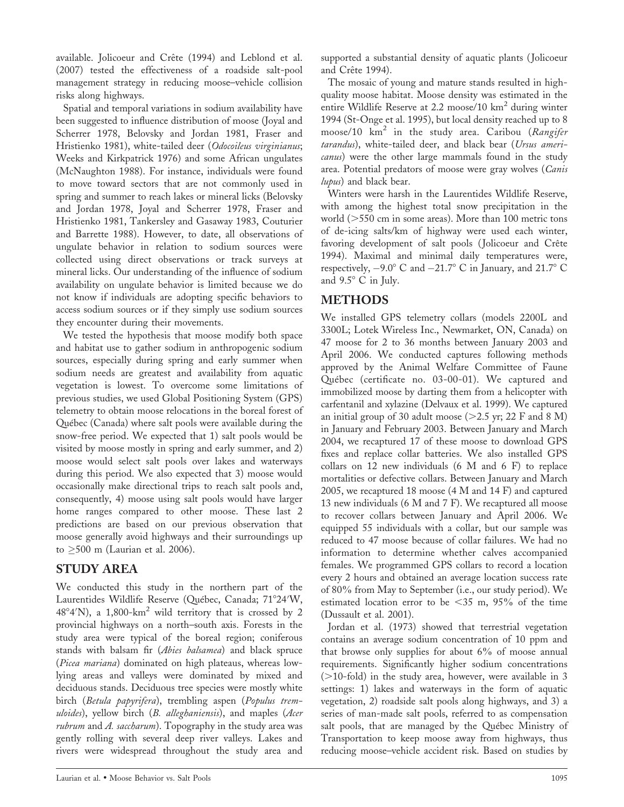available. Jolicoeur and Crête (1994) and Leblond et al. (2007) tested the effectiveness of a roadside salt-pool management strategy in reducing moose–vehicle collision risks along highways.

Spatial and temporal variations in sodium availability have been suggested to influence distribution of moose (Joyal and Scherrer 1978, Belovsky and Jordan 1981, Fraser and Hristienko 1981), white-tailed deer (Odocoileus virginianus; Weeks and Kirkpatrick 1976) and some African ungulates (McNaughton 1988). For instance, individuals were found to move toward sectors that are not commonly used in spring and summer to reach lakes or mineral licks (Belovsky and Jordan 1978, Joyal and Scherrer 1978, Fraser and Hristienko 1981, Tankersley and Gasaway 1983, Couturier and Barrette 1988). However, to date, all observations of ungulate behavior in relation to sodium sources were collected using direct observations or track surveys at mineral licks. Our understanding of the influence of sodium availability on ungulate behavior is limited because we do not know if individuals are adopting specific behaviors to access sodium sources or if they simply use sodium sources they encounter during their movements.

We tested the hypothesis that moose modify both space and habitat use to gather sodium in anthropogenic sodium sources, especially during spring and early summer when sodium needs are greatest and availability from aquatic vegetation is lowest. To overcome some limitations of previous studies, we used Global Positioning System (GPS) telemetry to obtain moose relocations in the boreal forest of Québec (Canada) where salt pools were available during the snow-free period. We expected that 1) salt pools would be visited by moose mostly in spring and early summer, and 2) moose would select salt pools over lakes and waterways during this period. We also expected that 3) moose would occasionally make directional trips to reach salt pools and, consequently, 4) moose using salt pools would have larger home ranges compared to other moose. These last 2 predictions are based on our previous observation that moose generally avoid highways and their surroundings up to  $\geq$ 500 m (Laurian et al. 2006).

# STUDY AREA

We conducted this study in the northern part of the Laurentides Wildlife Reserve (Québec, Canada; 71°24′W, 48°4′N), a 1,800-km<sup>2</sup> wild territory that is crossed by 2 provincial highways on a north–south axis. Forests in the study area were typical of the boreal region; coniferous stands with balsam fir (Abies balsamea) and black spruce (Picea mariana) dominated on high plateaus, whereas lowlying areas and valleys were dominated by mixed and deciduous stands. Deciduous tree species were mostly white birch (Betula papyrifera), trembling aspen (Populus tremuloides), yellow birch (B. alleghaniensis), and maples (Acer rubrum and  $A$ . saccharum). Topography in the study area was gently rolling with several deep river valleys. Lakes and rivers were widespread throughout the study area and supported a substantial density of aquatic plants (Jolicoeur and Crête 1994).

The mosaic of young and mature stands resulted in highquality moose habitat. Moose density was estimated in the entire Wildlife Reserve at 2.2 moose/10  $km^2$  during winter 1994 (St-Onge et al. 1995), but local density reached up to 8 moose/10  $km^2$  in the study area. Caribou (Rangifer tarandus), white-tailed deer, and black bear (Ursus americanus) were the other large mammals found in the study area. Potential predators of moose were gray wolves (Canis lupus) and black bear.

Winters were harsh in the Laurentides Wildlife Reserve, with among the highest total snow precipitation in the world  $($ >550 cm in some areas). More than 100 metric tons of de-icing salts/km of highway were used each winter, favoring development of salt pools (Jolicoeur and Crête 1994). Maximal and minimal daily temperatures were, respectively,  $-9.0^{\circ}$  C and  $-21.7^{\circ}$  C in January, and 21.7° C and  $9.5^{\circ}$  C in July.

# METHODS

We installed GPS telemetry collars (models 2200L and 3300L; Lotek Wireless Inc., Newmarket, ON, Canada) on 47 moose for 2 to 36 months between January 2003 and April 2006. We conducted captures following methods approved by the Animal Welfare Committee of Faune Québec (certificate no. 03-00-01). We captured and immobilized moose by darting them from a helicopter with carfentanil and xylazine (Delvaux et al. 1999). We captured an initial group of 30 adult moose ( $>2.5$  yr; 22 F and 8 M) in January and February 2003. Between January and March 2004, we recaptured 17 of these moose to download GPS fixes and replace collar batteries. We also installed GPS collars on 12 new individuals (6 M and 6 F) to replace mortalities or defective collars. Between January and March 2005, we recaptured 18 moose (4 M and 14 F) and captured 13 new individuals (6 M and 7 F). We recaptured all moose to recover collars between January and April 2006. We equipped 55 individuals with a collar, but our sample was reduced to 47 moose because of collar failures. We had no information to determine whether calves accompanied females. We programmed GPS collars to record a location every 2 hours and obtained an average location success rate of 80% from May to September (i.e., our study period). We estimated location error to be  $<35$  m, 95% of the time (Dussault et al. 2001).

Jordan et al. (1973) showed that terrestrial vegetation contains an average sodium concentration of 10 ppm and that browse only supplies for about 6% of moose annual requirements. Significantly higher sodium concentrations  $($ >10-fold) in the study area, however, were available in 3 settings: 1) lakes and waterways in the form of aquatic vegetation, 2) roadside salt pools along highways, and 3) a series of man-made salt pools, referred to as compensation salt pools, that are managed by the Québec Ministry of Transportation to keep moose away from highways, thus reducing moose–vehicle accident risk. Based on studies by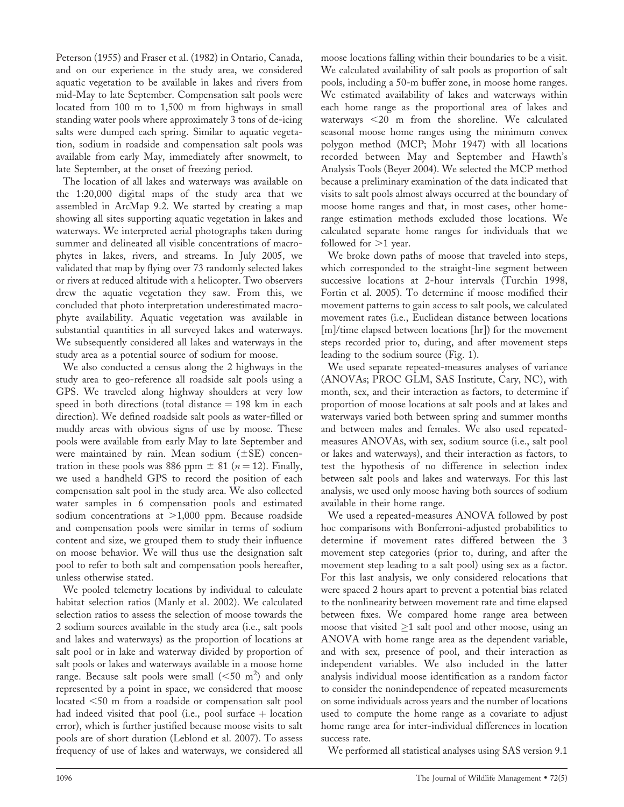Peterson (1955) and Fraser et al. (1982) in Ontario, Canada, and on our experience in the study area, we considered aquatic vegetation to be available in lakes and rivers from mid-May to late September. Compensation salt pools were located from 100 m to 1,500 m from highways in small standing water pools where approximately 3 tons of de-icing salts were dumped each spring. Similar to aquatic vegetation, sodium in roadside and compensation salt pools was available from early May, immediately after snowmelt, to late September, at the onset of freezing period.

The location of all lakes and waterways was available on the 1:20,000 digital maps of the study area that we assembled in ArcMap 9.2. We started by creating a map showing all sites supporting aquatic vegetation in lakes and waterways. We interpreted aerial photographs taken during summer and delineated all visible concentrations of macrophytes in lakes, rivers, and streams. In July 2005, we validated that map by flying over 73 randomly selected lakes or rivers at reduced altitude with a helicopter. Two observers drew the aquatic vegetation they saw. From this, we concluded that photo interpretation underestimated macrophyte availability. Aquatic vegetation was available in substantial quantities in all surveyed lakes and waterways. We subsequently considered all lakes and waterways in the study area as a potential source of sodium for moose.

We also conducted a census along the 2 highways in the study area to geo-reference all roadside salt pools using a GPS. We traveled along highway shoulders at very low speed in both directions (total distance  $= 198$  km in each direction). We defined roadside salt pools as water-filled or muddy areas with obvious signs of use by moose. These pools were available from early May to late September and were maintained by rain. Mean sodium  $(\pm SE)$  concentration in these pools was 886 ppm  $\pm$  81 ( $n = 12$ ). Finally, we used a handheld GPS to record the position of each compensation salt pool in the study area. We also collected water samples in 6 compensation pools and estimated sodium concentrations at  $>1,000$  ppm. Because roadside and compensation pools were similar in terms of sodium content and size, we grouped them to study their influence on moose behavior. We will thus use the designation salt pool to refer to both salt and compensation pools hereafter, unless otherwise stated.

We pooled telemetry locations by individual to calculate habitat selection ratios (Manly et al. 2002). We calculated selection ratios to assess the selection of moose towards the 2 sodium sources available in the study area (i.e., salt pools and lakes and waterways) as the proportion of locations at salt pool or in lake and waterway divided by proportion of salt pools or lakes and waterways available in a moose home range. Because salt pools were small  $(< 50 \text{ m}^2)$  and only represented by a point in space, we considered that moose located <50 m from a roadside or compensation salt pool had indeed visited that pool (i.e., pool surface  $+$  location error), which is further justified because moose visits to salt pools are of short duration (Leblond et al. 2007). To assess frequency of use of lakes and waterways, we considered all

moose locations falling within their boundaries to be a visit. We calculated availability of salt pools as proportion of salt pools, including a 50-m buffer zone, in moose home ranges. We estimated availability of lakes and waterways within each home range as the proportional area of lakes and waterways  $<$ 20 m from the shoreline. We calculated seasonal moose home ranges using the minimum convex polygon method (MCP; Mohr 1947) with all locations recorded between May and September and Hawth's Analysis Tools (Beyer 2004). We selected the MCP method because a preliminary examination of the data indicated that visits to salt pools almost always occurred at the boundary of moose home ranges and that, in most cases, other homerange estimation methods excluded those locations. We calculated separate home ranges for individuals that we followed for  $>1$  year.

We broke down paths of moose that traveled into steps, which corresponded to the straight-line segment between successive locations at 2-hour intervals (Turchin 1998, Fortin et al. 2005). To determine if moose modified their movement patterns to gain access to salt pools, we calculated movement rates (i.e., Euclidean distance between locations [m]/time elapsed between locations [hr]) for the movement steps recorded prior to, during, and after movement steps leading to the sodium source (Fig. 1).

We used separate repeated-measures analyses of variance (ANOVAs; PROC GLM, SAS Institute, Cary, NC), with month, sex, and their interaction as factors, to determine if proportion of moose locations at salt pools and at lakes and waterways varied both between spring and summer months and between males and females. We also used repeatedmeasures ANOVAS, with sex, sodium source (i.e., salt pool or lakes and waterways), and their interaction as factors, to test the hypothesis of no difference in selection index between salt pools and lakes and waterways. For this last analysis, we used only moose having both sources of sodium available in their home range.

We used a repeated-measures ANOVA followed by post hoc comparisons with Bonferroni-adjusted probabilities to determine if movement rates differed between the 3 movement step categories (prior to, during, and after the movement step leading to a salt pool) using sex as a factor. For this last analysis, we only considered relocations that were spaced 2 hours apart to prevent a potential bias related to the nonlinearity between movement rate and time elapsed between fixes. We compared home range area between moose that visited  $\geq 1$  salt pool and other moose, using an ANOVA with home range area as the dependent variable, and with sex, presence of pool, and their interaction as independent variables. We also included in the latter analysis individual moose identification as a random factor to consider the nonindependence of repeated measurements on some individuals across years and the number of locations used to compute the home range as a covariate to adjust home range area for inter-individual differences in location success rate.

We performed all statistical analyses using SAS version 9.1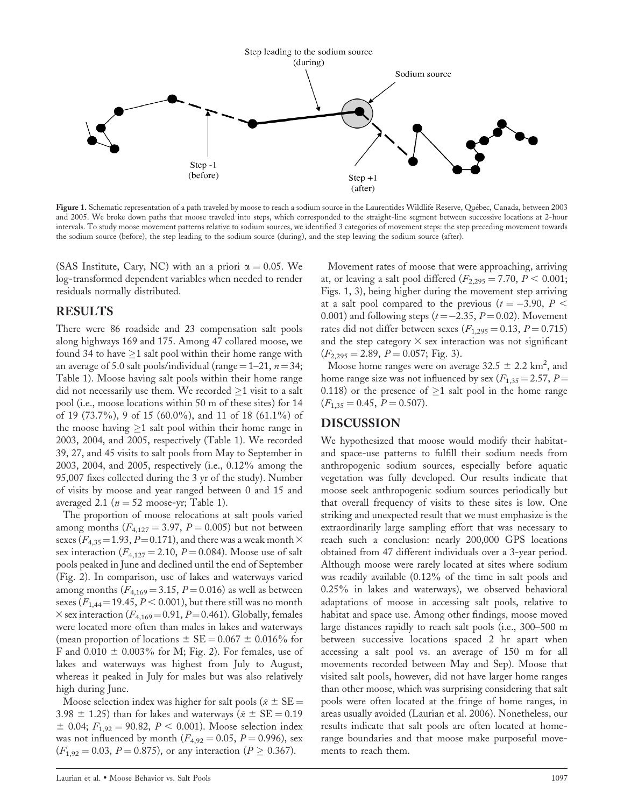

Figure 1. Schematic representation of a path traveled by moose to reach a sodium source in the Laurentides Wildlife Reserve, Québec, Canada, between 2003 and 2005. We broke down paths that moose traveled into steps, which corresponded to the straight-line segment between successive locations at 2-hour intervals. To study moose movement patterns relative to sodium sources, we identified 3 categories of movement steps: the step preceding movement towards the sodium source (before), the step leading to the sodium source (during), and the step leaving the sodium source (after).

(SAS Institute, Cary, NC) with an a priori  $\alpha = 0.05$ . We log-transformed dependent variables when needed to render residuals normally distributed.

#### RESULTS

There were 86 roadside and 23 compensation salt pools along highways 169 and 175. Among 47 collared moose, we found 34 to have  $\geq 1$  salt pool within their home range with an average of 5.0 salt pools/individual (range =  $1-21$ ,  $n=34$ ; Table 1). Moose having salt pools within their home range did not necessarily use them. We recorded  $\geq$ 1 visit to a salt pool (i.e., moose locations within 50 m of these sites) for 14 of 19 (73.7%), 9 of 15 (60.0%), and 11 of 18 (61.1%) of the moose having  $\geq 1$  salt pool within their home range in 2003, 2004, and 2005, respectively (Table 1). We recorded 39, 27, and 45 visits to salt pools from May to September in 2003, 2004, and 2005, respectively (i.e., 0.12% among the 95,007 fixes collected during the 3 yr of the study). Number of visits by moose and year ranged between 0 and 15 and averaged 2.1 ( $n = 52$  moose-yr; Table 1).

The proportion of moose relocations at salt pools varied among months ( $F_{4,127} = 3.97, P = 0.005$ ) but not between sexes ( $F_{4,35}$  = 1.93, P = 0.171), and there was a weak month  $\times$ sex interaction ( $F_{4,127} = 2.10, P = 0.084$ ). Moose use of salt pools peaked in June and declined until the end of September (Fig. 2). In comparison, use of lakes and waterways varied among months ( $F_{4,169} = 3.15$ ,  $P = 0.016$ ) as well as between sexes ( $F_{1,44}$  = 19.45,  $P$  < 0.001), but there still was no month  $\times$  sex interaction ( $F_{4,169}$  = 0.91, P = 0.461). Globally, females were located more often than males in lakes and waterways (mean proportion of locations  $\pm$  SE = 0.067  $\pm$  0.016% for F and  $0.010 \pm 0.003\%$  for M; Fig. 2). For females, use of lakes and waterways was highest from July to August, whereas it peaked in July for males but was also relatively high during June.

Moose selection index was higher for salt pools ( $\bar{x} \pm \text{SE} =$ 3.98  $\pm$  1.25) than for lakes and waterways ( $\bar{x} \pm \text{SE} = 0.19$  $\pm$  0.04;  $F_{1,92} = 90.82$ ,  $P < 0.001$ ). Moose selection index was not influenced by month ( $F_{4,92} = 0.05$ ,  $P = 0.996$ ), sex  $(F_{1,92} = 0.03, P = 0.875)$ , or any interaction ( $P \ge 0.367$ ).

Movement rates of moose that were approaching, arriving at, or leaving a salt pool differed ( $F_{2,295} = 7.70, P < 0.001;$ Figs. 1, 3), being higher during the movement step arriving at a salt pool compared to the previous ( $t = -3.90, P <$ 0.001) and following steps  $(t = -2.35, P = 0.02)$ . Movement rates did not differ between sexes ( $F_{1,295} = 0.13$ ,  $P = 0.715$ ) and the step category  $\times$  sex interaction was not significant  $(F_{2,295} = 2.89, P = 0.057; Fig. 3).$ 

Moose home ranges were on average  $32.5 \pm 2.2$  km<sup>2</sup>, and home range size was not influenced by sex ( $F_{1,35} = 2.57$ ,  $P =$ 0.118) or the presence of  $\geq$ 1 salt pool in the home range  $(F_{1,35} = 0.45, P = 0.507).$ 

#### DISCUSSION

We hypothesized that moose would modify their habitatand space-use patterns to fulfill their sodium needs from anthropogenic sodium sources, especially before aquatic vegetation was fully developed. Our results indicate that moose seek anthropogenic sodium sources periodically but that overall frequency of visits to these sites is low. One striking and unexpected result that we must emphasize is the extraordinarily large sampling effort that was necessary to reach such a conclusion: nearly 200,000 GPS locations obtained from 47 different individuals over a 3-year period. Although moose were rarely located at sites where sodium was readily available (0.12% of the time in salt pools and 0.25% in lakes and waterways), we observed behavioral adaptations of moose in accessing salt pools, relative to habitat and space use. Among other findings, moose moved large distances rapidly to reach salt pools (i.e., 300–500 m between successive locations spaced 2 hr apart when accessing a salt pool vs. an average of 150 m for all movements recorded between May and Sep). Moose that visited salt pools, however, did not have larger home ranges than other moose, which was surprising considering that salt pools were often located at the fringe of home ranges, in areas usually avoided (Laurian et al. 2006). Nonetheless, our results indicate that salt pools are often located at homerange boundaries and that moose make purposeful movements to reach them.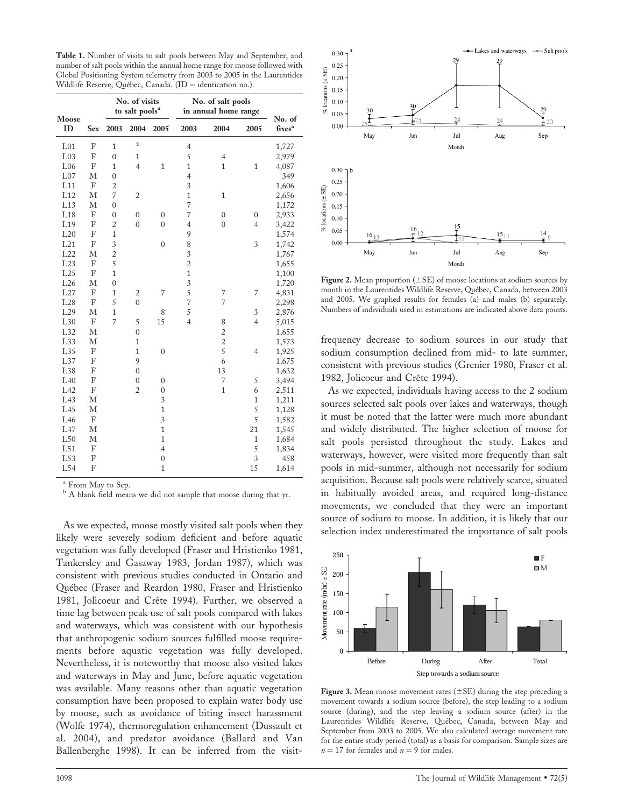Table 1. Number of visits to salt pools between May and September, and number of salt pools within the annual home range for moose followed with Global Positioning System telemetry from 2003 to 2005 in the Laurentides Wildlife Reserve, Québec, Canada. (ID = identication no.).

|                 |             |                | No. of visits<br>to salt pools <sup>a</sup> |                | No. of salt pools<br>in annual home range |                |                  |                              |
|-----------------|-------------|----------------|---------------------------------------------|----------------|-------------------------------------------|----------------|------------------|------------------------------|
| Moose<br>ID     | <b>Sex</b>  | 2003           | 2004                                        | 2005           | 2003                                      | 2004           | 2005             | No. of<br>fixes <sup>a</sup> |
| L <sub>01</sub> | F           | $\mathbf{1}$   | $\mathbf b$                                 |                | $\overline{4}$                            |                |                  | 1,727                        |
| L <sub>03</sub> | F           | $\overline{0}$ | $\mathbf{1}$                                |                | 5                                         | $\overline{4}$ |                  | 2,979                        |
| L <sub>06</sub> | F           | $\mathbf{1}$   | $\overline{4}$                              | $\mathbf{1}$   | $\mathbf{1}$                              | $\mathbf{1}$   | $\mathbf{1}$     | 4,087                        |
| L07             | M           | $\overline{0}$ |                                             |                | $\overline{4}$                            |                |                  | 349                          |
| L11             | F           | $\overline{c}$ |                                             |                | 3                                         |                |                  | 1,606                        |
| L12             | М           | $\overline{7}$ | $\overline{2}$                              |                | $\overline{1}$                            | $\mathbf{1}$   |                  | 2,656                        |
| L13             | М           | $\overline{0}$ |                                             |                | $\overline{7}$                            |                |                  | 1,172                        |
| L18             | F           | $\overline{0}$ | $\mathbf{0}$                                | $\mathbf{0}$   | $\overline{7}$                            | $\mathbf{0}$   | $\boldsymbol{0}$ | 2,933                        |
| L19             | F           | $\overline{2}$ | $\mathbf{0}$                                | $\overline{0}$ | $\overline{4}$                            | $\overline{0}$ | $\overline{4}$   | 3,422                        |
| L20             | F           | $\mathbf{1}$   |                                             |                | 9                                         |                |                  | 1,574                        |
| L21             | F           | 3              |                                             | $\mathbf{0}$   | 8                                         |                | 3                | 1,742                        |
| L22             | M           | $\overline{c}$ |                                             |                | 3                                         |                |                  | 1,767                        |
| L23             | $\rm F$     | 5              |                                             |                | $\overline{2}$                            |                |                  | 1,655                        |
| L25             | F           | $\mathbf{1}$   |                                             |                | $\mathbf{1}$                              |                |                  | 1,100                        |
| L26             | M           | $\overline{0}$ |                                             |                | 3                                         |                |                  | 1,720                        |
| L27             | F           | $\mathbf{1}$   | $\mathbf{2}$                                | $\overline{7}$ | 5                                         | 7              | 7                | 4,831                        |
| L <sub>28</sub> | F           | 5              | $\mathbf{0}$                                |                | $\overline{7}$                            | $\overline{7}$ |                  | 2,298                        |
| L29             | M           | $\mathbf{1}$   |                                             | 8              | 5                                         |                | 3                | 2,876                        |
| L30             | F           | $\overline{7}$ | 5                                           | 15             | $\overline{4}$                            | 8              | $\overline{4}$   | 5,015                        |
| L32             | $\mathbf M$ |                | $\overline{0}$                              |                |                                           | $\overline{2}$ |                  | 1,655                        |
| L33             | M           |                | $\mathbf{1}$                                |                |                                           | $\overline{c}$ |                  | 1,573                        |
| L35             | F           |                | $\mathbf{1}$                                | $\mathbf{0}$   |                                           | 5              | $\overline{4}$   | 1,925                        |
| L37             | F           |                | 9                                           |                |                                           | 6              |                  | 1,675                        |
| L38             | F           |                | $\mathbf{0}$                                |                |                                           | 13             |                  | 1,632                        |
| L40             | F           |                | $\overline{0}$                              | $\mathbf{0}$   |                                           | $\overline{7}$ | 5                | 3,494                        |
| L42             | F           |                | $\overline{2}$                              | $\mathbf{0}$   |                                           | $\mathbf{1}$   | 6                | 2,511                        |
| L43             | М           |                |                                             | 3              |                                           |                | $\mathbf{1}$     | 1,211                        |
| L45             | М           |                |                                             | $\mathbf{1}$   |                                           |                | 5                | 1,128                        |
| L46             | F           |                |                                             | 3              |                                           |                | 5                | 1,582                        |
| L47             | М           |                |                                             | $\overline{1}$ |                                           |                | 21               | 1,545                        |
| L50             | М           |                |                                             | $\mathbf{1}$   |                                           |                | $\mathbf{1}$     | 1,684                        |
| L51             | F           |                |                                             | $\overline{4}$ |                                           |                | 5                | 1,834                        |
| L53             | F           |                |                                             | $\mathbf{0}$   |                                           |                | 3                | 458                          |
| L54             | F           |                |                                             | $\mathbf{1}$   |                                           |                | 15               | 1,614                        |

<sup>a</sup> From May to Sep.

<sup>b</sup> A blank field means we did not sample that moose during that yr.

As we expected, moose mostly visited salt pools when they likely were severely sodium deficient and before aquatic vegetation was fully developed (Fraser and Hristienko 1981, Tankersley and Gasaway 1983, Jordan 1987), which was consistent with previous studies conducted in Ontario and Québec (Fraser and Reardon 1980, Fraser and Hristienko 1981, Jolicoeur and Crête 1994). Further, we observed a time lag between peak use of salt pools compared with lakes and waterways, which was consistent with our hypothesis that anthropogenic sodium sources fulfilled moose requirements before aquatic vegetation was fully developed. Nevertheless, it is noteworthy that moose also visited lakes and waterways in May and June, before aquatic vegetation was available. Many reasons other than aquatic vegetation consumption have been proposed to explain water body use by moose, such as avoidance of biting insect harassment (Wolfe 1974), thermoregulation enhancement (Dussault et al. 2004), and predator avoidance (Ballard and Van Ballenberghe 1998). It can be inferred from the visit-



Figure 2. Mean proportion ( $\pm$ SE) of moose locations at sodium sources by month in the Laurentides Wildlife Reserve, Québec, Canada, between 2003 and 2005. We graphed results for females (a) and males (b) separately. Numbers of individuals used in estimations are indicated above data points.

frequency decrease to sodium sources in our study that sodium consumption declined from mid- to late summer, consistent with previous studies (Grenier 1980, Fraser et al. 1982, Jolicoeur and Crête 1994).

As we expected, individuals having access to the 2 sodium sources selected salt pools over lakes and waterways, though it must be noted that the latter were much more abundant and widely distributed. The higher selection of moose for salt pools persisted throughout the study. Lakes and waterways, however, were visited more frequently than salt pools in mid-summer, although not necessarily for sodium acquisition. Because salt pools were relatively scarce, situated in habitually avoided areas, and required long-distance movements, we concluded that they were an important source of sodium to moose. In addition, it is likely that our selection index underestimated the importance of salt pools



Figure 3. Mean moose movement rates ( $\pm$ SE) during the step preceding a movement towards a sodium source (before), the step leading to a sodium source (during), and the step leaving a sodium source (after) in the Laurentides Wildlife Reserve, Québec, Canada, between May and September from 2003 to 2005. We also calculated average movement rate for the entire study period (total) as a basis for comparison. Sample sizes are  $n = 17$  for females and  $n = 9$  for males.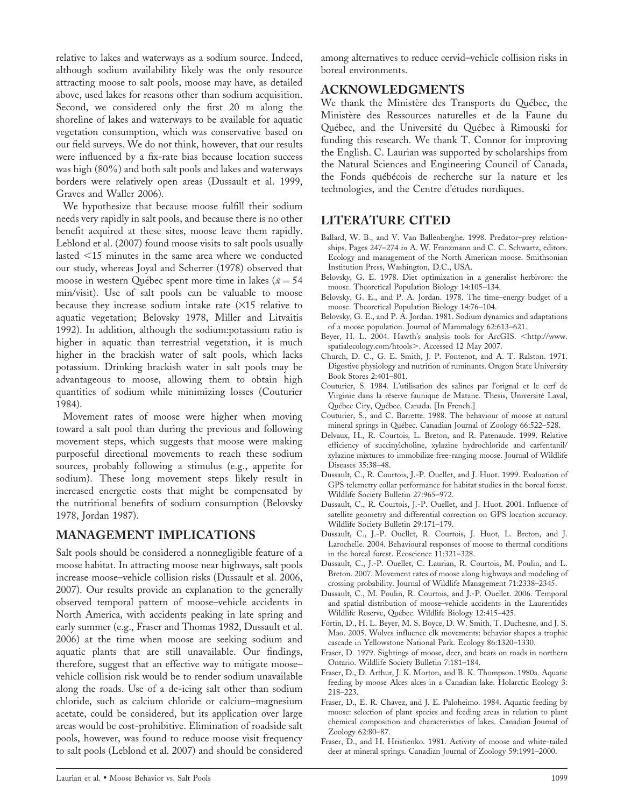relative to lakes and waterways as a sodium source. Indeed, although sodium availability likely was the only resource attracting moose to salt pools, moose may have, as detailed above, used lakes for reasons other than sodium acquisition. Second, we considered only the first 20 m along the shoreline of lakes and waterways to be available for aquatic vegetation consumption, which was conservative based on our field surveys. We do not think, however, that our results were influenced by a fix-rate bias because location success was high (80%) and both salt pools and lakes and waterways borders were relatively open areas (Dussault et al. 1999, Graves and Waller 2006).

We hypothesize that because moose fulfill their sodium needs very rapidly in salt pools, and because there is no other benefit acquired at these sites, moose leave them rapidly. Leblond et al. (2007) found moose visits to salt pools usually lasted ,15 minutes in the same area where we conducted our study, whereas Joyal and Scherrer (1978) observed that moose in western Québec spent more time in lakes ( $\bar{x}$  = 54 min/visit). Use of salt pools can be valuable to moose because they increase sodium intake rate  $(X15$  relative to aquatic vegetation; Belovsky 1978, Miller and Litvaitis 1992). In addition, although the sodium:potassium ratio is higher in aquatic than terrestrial vegetation, it is much higher in the brackish water of salt pools, which lacks potassium. Drinking brackish water in salt pools may be advantageous to moose, allowing them to obtain high quantities of sodium while minimizing losses (Couturier 1984).

Movement rates of moose were higher when moving toward a salt pool than during the previous and following movement steps, which suggests that moose were making purposeful directional movements to reach these sodium sources, probably following a stimulus (e.g., appetite for sodium). These long movement steps likely result in increased energetic costs that might be compensated by the nutritional benefits of sodium consumption (Belovsky 1978, Jordan 1987).

#### MANAGEMENT IMPLICATIONS

Salt pools should be considered a nonnegligible feature of a moose habitat. In attracting moose near highways, salt pools increase moose–vehicle collision risks (Dussault et al. 2006, 2007). Our results provide an explanation to the generally observed temporal pattern of moose–vehicle accidents in North America, with accidents peaking in late spring and early summer (e.g., Fraser and Thomas 1982, Dussault et al. 2006) at the time when moose are seeking sodium and aquatic plants that are still unavailable. Our findings, therefore, suggest that an effective way to mitigate moose– vehicle collision risk would be to render sodium unavailable along the roads. Use of a de-icing salt other than sodium chloride, such as calcium chloride or calcium–magnesium acetate, could be considered, but its application over large areas would be cost-prohibitive. Elimination of roadside salt pools, however, was found to reduce moose visit frequency to salt pools (Leblond et al. 2007) and should be considered

among alternatives to reduce cervid–vehicle collision risks in boreal environments.

### ACKNOWLEDGMENTS

We thank the Ministère des Transports du Québec, the Ministère des Ressources naturelles et de la Faune du Québec, and the Université du Québec à Rimouski for funding this research. We thank T. Connor for improving the English. C. Laurian was supported by scholarships from the Natural Sciences and Engineering Council of Canada, the Fonds québécois de recherche sur la nature et les technologies, and the Centre d'études nordiques.

## LITERATURE CITED

- Ballard, W. B., and V. Van Ballenberghe. 1998. Predator–prey relationships. Pages 247-274 in A. W. Franzmann and C. C. Schwartz, editors. Ecology and management of the North American moose. Smithsonian Institution Press, Washington, D.C., USA.
- Belovsky, G. E. 1978. Diet optimization in a generalist herbivore: the moose. Theoretical Population Biology 14:105–134.
- Belovsky, G. E., and P. A. Jordan. 1978. The time–energy budget of a moose. Theoretical Population Biology 14:76–104.
- Belovsky, G. E., and P. A. Jordan. 1981. Sodium dynamics and adaptations of a moose population. Journal of Mammalogy 62:613–621.
- Beyer, H. L. 2004. Hawth's analysis tools for ArcGIS. <http://www. spatialecology.com/htools>. Accessed 12 May 2007.
- Church, D. C., G. E. Smith, J. P. Fontenot, and A. T. Ralston. 1971. Digestive physiology and nutrition of ruminants. Oregon State University Book Stores 2:401–801.
- Couturier, S. 1984. L'utilisation des salines par l'orignal et le cerf de Virginie dans la réserve faunique de Matane. Thesis, Université Laval, Québec City, Québec, Canada. [In French.]
- Couturier, S., and C. Barrette. 1988. The behaviour of moose at natural mineral springs in Québec. Canadian Journal of Zoology 66:522-528.
- Delvaux, H., R. Courtois, L. Breton, and R. Patenaude. 1999. Relative efficiency of succinylcholine, xylazine hydrochloride and carfentanil/ xylazine mixtures to immobilize free-ranging moose. Journal of Wildlife Diseases 35:38–48.
- Dussault, C., R. Courtois, J.-P. Ouellet, and J. Huot. 1999. Evaluation of GPS telemetry collar performance for habitat studies in the boreal forest. Wildlife Society Bulletin 27:965–972.
- Dussault, C., R. Courtois, J.-P. Ouellet, and J. Huot. 2001. Influence of satellite geometry and differential correction on GPS location accuracy. Wildlife Society Bulletin 29:171–179.
- Dussault, C., J.-P. Ouellet, R. Courtois, J. Huot, L. Breton, and J. Larochelle. 2004. Behavioural responses of moose to thermal conditions in the boreal forest. Ecoscience 11:321–328.
- Dussault, C., J.-P. Ouellet, C. Laurian, R. Courtois, M. Poulin, and L. Breton. 2007. Movement rates of moose along highways and modeling of crossing probability. Journal of Wildlife Management 71:2338–2345.
- Dussault, C., M. Poulin, R. Courtois, and J.-P. Ouellet. 2006. Temporal and spatial distribution of moose–vehicle accidents in the Laurentides Wildlife Reserve, Québec. Wildlife Biology 12:415-425.
- Fortin, D., H. L. Beyer, M. S. Boyce, D. W. Smith, T. Duchesne, and J. S. Mao. 2005. Wolves influence elk movements: behavior shapes a trophic cascade in Yellowstone National Park. Ecology 86:1320–1330.
- Fraser, D. 1979. Sightings of moose, deer, and bears on roads in northern Ontario. Wildlife Society Bulletin 7:181–184.
- Fraser, D., D. Arthur, J. K. Morton, and B. K. Thompson. 1980a. Aquatic feeding by moose Alces alces in a Canadian lake. Holarctic Ecology 3: 218–223.
- Fraser, D., E. R. Chavez, and J. E. Paloheimo. 1984. Aquatic feeding by moose: selection of plant species and feeding areas in relation to plant chemical composition and characteristics of lakes. Canadian Journal of Zoology 62:80–87.
- Fraser, D., and H. Hristienko. 1981. Activity of moose and white-tailed deer at mineral springs. Canadian Journal of Zoology 59:1991–2000.